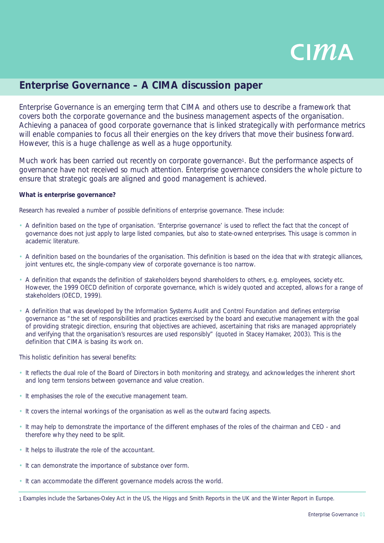

# **Enterprise Governance – A CIMA discussion paper**

Enterprise Governance is an emerging term that CIMA and others use to describe a framework that covers both the corporate governance and the business management aspects of the organisation. Achieving a panacea of good corporate governance that is linked strategically with performance metrics will enable companies to focus all their energies on the key drivers that move their business forward. However, this is a huge challenge as well as a huge opportunity.

Much work has been carried out recently on corporate governance<sup>1</sup>. But the performance aspects of governance have not received so much attention. Enterprise governance considers the whole picture to ensure that strategic goals are aligned and good management is achieved.

## **What is enterprise governance?**

Research has revealed a number of possible definitions of enterprise governance. These include:

- A definition based on the type of organisation. 'Enterprise governance' is used to reflect the fact that the concept of governance does not just apply to large listed companies, but also to state-owned enterprises. This usage is common in academic literature.
- A definition based on the boundaries of the organisation. This definition is based on the idea that with strategic alliances, joint ventures etc, the single-company view of corporate governance is too narrow.
- A definition that expands the definition of stakeholders beyond shareholders to others, e.g. employees, society etc. However, the 1999 OECD definition of corporate governance, which is widely quoted and accepted, allows for a range of stakeholders (OECD, 1999).
- A definition that was developed by the Information Systems Audit and Control Foundation and defines enterprise governance as "the set of responsibilities and practices exercised by the board and executive management with the goal of providing strategic direction, ensuring that objectives are achieved, ascertaining that risks are managed appropriately and verifying that the organisation's resources are used responsibly" (quoted in Stacey Hamaker, 2003). This is the definition that CIMA is basing its work on.

This holistic definition has several benefits:

- It reflects the dual role of the Board of Directors in both monitoring and strategy, and acknowledges the inherent short and long term tensions between governance and value creation.
- It emphasises the role of the executive management team.
- It covers the internal workings of the organisation as well as the outward facing aspects.
- It may help to demonstrate the importance of the different emphases of the roles of the chairman and CEO and therefore why they need to be split.
- It helps to illustrate the role of the accountant.
- It can demonstrate the importance of substance over form.
- It can accommodate the different governance models across the world.

<sup>1</sup> Examples include the Sarbanes-Oxley Act in the US, the Higgs and Smith Reports in the UK and the Winter Report in Europe.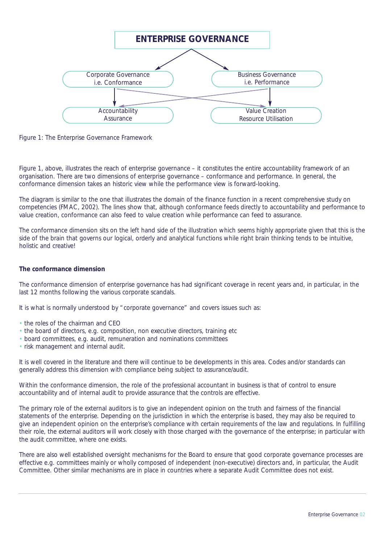

*Figure 1: The Enterprise Governance Framework*

Figure 1, above, illustrates the reach of enterprise governance – it constitutes the entire accountability framework of an organisation. There are two dimensions of enterprise governance – conformance and performance. In general, the conformance dimension takes an historic view while the performance view is forward-looking.

The diagram is similar to the one that illustrates the domain of the finance function in a recent comprehensive study on competencies (FMAC, 2002). The lines show that, although conformance feeds directly to accountability and performance to value creation, conformance can also feed to value creation while performance can feed to assurance.

The conformance dimension sits on the left hand side of the illustration which seems highly appropriate given that this is the side of the brain that governs our logical, orderly and analytical functions while right brain thinking tends to be intuitive, holistic and creative!

## **The conformance dimension**

The conformance dimension of enterprise governance has had significant coverage in recent years and, in particular, in the last 12 months following the various corporate scandals.

It is what is normally understood by "corporate governance" and covers issues such as:

- the roles of the chairman and CEO
- the board of directors, e.g. composition, non executive directors, training etc
- board committees, e.g. audit, remuneration and nominations committees
- risk management and internal audit.

It is well covered in the literature and there will continue to be developments in this area. Codes and/or standards can generally address this dimension with compliance being subject to assurance/audit.

Within the conformance dimension, the role of the professional accountant in business is that of control to ensure accountability and of internal audit to provide assurance that the controls are effective.

The primary role of the external auditors is to give an independent opinion on the truth and fairness of the financial statements of the enterprise. Depending on the jurisdiction in which the enterprise is based, they may also be required to give an independent opinion on the enterprise's compliance with certain requirements of the law and regulations. In fulfilling their role, the external auditors will work closely with those charged with the governance of the enterprise; in particular with the audit committee, where one exists.

There are also well established oversight mechanisms for the Board to ensure that good corporate governance processes are effective e.g. committees mainly or wholly composed of independent (non-executive) directors and, in particular, the Audit Committee. Other similar mechanisms are in place in countries where a separate Audit Committee does not exist.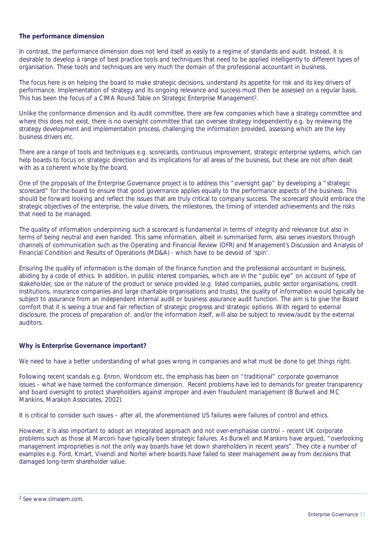#### **The performance dimension**

In contrast, the performance dimension does not lend itself as easily to a regime of standards and audit. Instead, it is desirable to develop a range of best practice tools and techniques that need to be applied intelligently to different types of organisation. These tools and techniques are very much the domain of the professional accountant in business.

The focus here is on helping the board to make strategic decisions, understand its appetite for risk and its key drivers of performance. Implementation of strategy and its ongoing relevance and success must then be assessed on a regular basis. This has been the focus of a CIMA Round Table on Strategic Enterprise Management2.

Unlike the conformance dimension and its audit committee, there are few companies which have a strategy committee and where this does not exist, there is no oversight committee that can oversee strategy independently e.g. by reviewing the strategy development and implementation process, challenging the information provided, assessing which are the key business drivers etc.

There are a range of tools and techniques e.g. scorecards, continuous improvement, strategic enterprise systems, which can help boards to focus on strategic direction and its implications for all areas of the business, but these are not often dealt with as a coherent whole by the board.

One of the proposals of the Enterprise Governance project is to address this "oversight gap" by developing a "strategic scorecard" for the board to ensure that good governance applies equally to the performance aspects of the business. This should be forward looking and reflect the issues that are truly critical to company success. The scorecard should embrace the strategic objectives of the enterprise, the value drivers, the milestones, the timing of intended achievements and the risks that need to be managed.

The quality of information underpinning such a scorecard is fundamental in terms of integrity and relevance but also in terms of being neutral and even handed. This same information, albeit in summarised form, also serves investors through channels of communication such as the Operating and Financial Review (OFR) and Management's Discussion and Analysis of Financial Condition and Results of Operations (MD&A) - which have to be devoid of 'spin'.

Ensuring the quality of information is the domain of the finance function and the professional accountant in business, abiding by a code of ethics. In addition, in public interest companies, which are in the "public eye" on account of type of stakeholder, size or the nature of the product or service provided (e.g. listed companies, public sector organisations, credit institutions, insurance companies and large charitable organisations and trusts), the quality of information would typically be subject to assurance from an independent internal audit or business assurance audit function. The aim is to give the Board comfort that it is seeing a true and fair reflection of strategic progress and strategic options. With regard to external disclosure, the process of preparation of, and/or the information itself, will also be subject to review/audit by the external auditors.

# **Why is Enterprise Governance important?**

We need to have a better understanding of what goes wrong in companies and what must be done to get things right.

Following recent scandals e.g. Enron, Worldcom etc, the emphasis has been on "traditional" corporate governance issues – what we have termed the conformance dimension. Recent problems have led to demands for greater transparency and board oversight to protect shareholders against improper and even fraudulent management (B Burwell and MC Mankins, Marakon Associates, 2002).

It is critical to consider such issues – after all, the aforementioned US failures were failures of control and ethics.

However, it is also important to adopt an integrated approach and not over-emphasise control – recent UK corporate problems such as those at Marconi have typically been strategic failures. As Burwell and Mankins have argued, "overlooking management improprieties is not the only way boards have let down shareholders in recent years". They cite a number of examples e.g. Ford, Kmart, Vivendi and Nortel where boards have failed to steer management away from decisions that damaged long-term shareholder value.

<sup>2</sup> See www.cimasem.com.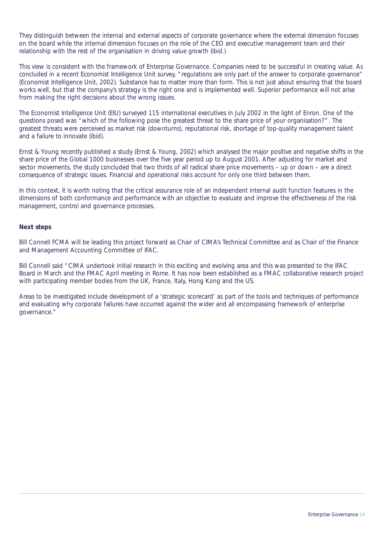They distinguish between the internal and external aspects of corporate governance where the external dimension focuses on the board while the internal dimension focuses on the role of the CEO and executive management team and their relationship with the rest of the organisation in driving value growth (ibid.)

This view is consistent with the framework of Enterprise Governance. Companies need to be successful in creating value. As concluded in a recent Economist Intelligence Unit survey, "regulations are only part of the answer to corporate governance" (Economist Intelligence Unit, 2002). Substance has to matter more than form. This is not just about ensuring that the board works well, but that the company's strategy is the right one and is implemented well. Superior performance will not arise from making the right decisions about the wrong issues.

The Economist Intelligence Unit (EIU) surveyed 115 international executives in July 2002 in the light of Enron. One of the questions posed was "which of the following pose the greatest threat to the share price of your organisation?". The greatest threats were perceived as market risk (downturns), reputational risk, shortage of top-quality management talent and a failure to innovate (ibid).

Ernst & Young recently published a study (Ernst & Young, 2002) which analysed the major positive and negative shifts in the share price of the Global 1000 businesses over the five year period up to August 2001. After adjusting for market and sector movements, the study concluded that two thirds of all radical share price movements – up or down – are a direct consequence of strategic issues. Financial and operational risks account for only one third between them.

In this context, it is worth noting that the critical assurance role of an independent internal audit function features in the dimensions of both conformance and performance with an objective to evaluate and improve the effectiveness of the risk management, control and governance processes.

## **Next steps**

Bill Connell FCMA will be leading this project forward as Chair of CIMA's Technical Committee and as Chair of the Finance and Management Accounting Committee of IFAC.

Bill Connell said "CIMA undertook initial research in this exciting and evolving area and this was presented to the IFAC Board in March and the FMAC April meeting in Rome. It has now been established as a FMAC collaborative research project with participating member bodies from the UK, France, Italy, Hong Kong and the US.

Areas to be investigated include development of a 'strategic scorecard' as part of the tools and techniques of performance and evaluating why corporate failures have occurred against the wider and all encompassing framework of enterprise governance."